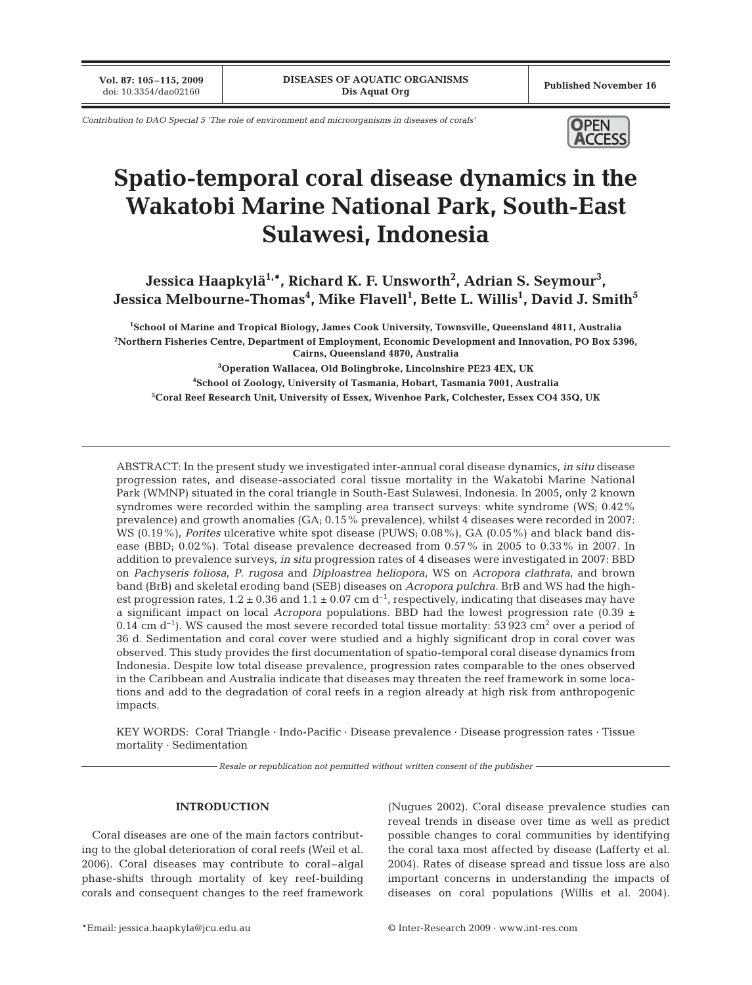**Vol. 87: 105-115, 2009**<br>doi: 10.3354/dao02160

Published November 16

*Contribution to DAO Special 5 'The role of environment and microorganisms in diseases of corals'* **OPEN** 



# **Spatio-temporal coral disease dynamics in the Wakatobi Marine National Park, South-East Sulawesi, Indonesia**

Jessica Haapkylä<sup>1,</sup>\*, Richard K. F. Unsworth<sup>2</sup>, Adrian S. Seymour<sup>3</sup>, Jessica Melbourne-Thomas<sup>4</sup>, Mike Flavell<sup>1</sup>, Bette L. Willis<sup>1</sup>, David J. Smith $^5$ 

 **School of Marine and Tropical Biology, James Cook University, Townsville, Queensland 4811, Australia Northern Fisheries Centre, Department of Employment, Economic Development and Innovation, PO Box 5396, Cairns, Queensland 4870, Australia Operation Wallacea, Old Bolingbroke, Lincolnshire PE23 4EX, UK School of Zoology, University of Tasmania, Hobart, Tasmania 7001, Australia Coral Reef Research Unit, University of Essex, Wivenhoe Park, Colchester, Essex CO4 35Q, UK**

ABSTRACT: In the present study we investigated inter-annual coral disease dynamics, *in situ* disease progression rates, and disease-associated coral tissue mortality in the Wakatobi Marine National Park (WMNP) situated in the coral triangle in South-East Sulawesi, Indonesia. In 2005, only 2 known syndromes were recorded within the sampling area transect surveys: white syndrome (WS; 0.42% prevalence) and growth anomalies (GA; 0.15% prevalence), whilst 4 diseases were recorded in 2007: WS (0.19%), *Porites* ulcerative white spot disease (PUWS; 0.08%), GA (0.05%) and black band disease (BBD; 0.02%). Total disease prevalence decreased from 0.57% in 2005 to 0.33% in 2007. In addition to prevalence surveys, *in situ* progression rates of 4 diseases were investigated in 2007: BBD on *Pachyseris foliosa*, *P*. *rugosa* and *Diploastrea heliopora*, WS on *Acropora clathrata*, and brown band (BrB) and skeletal eroding band (SEB) diseases on *Acropora pulchra*. BrB and WS had the highest progression rates,  $1.2 \pm 0.36$  and  $1.1 \pm 0.07$  cm d<sup>-1</sup>, respectively, indicating that diseases may have a significant impact on local *Acropora* populations. BBD had the lowest progression rate (0.39  $\pm$ 0.14 cm  $d^{-1}$ ). WS caused the most severe recorded total tissue mortality: 53 923 cm<sup>2</sup> over a period of 36 d. Sedimentation and coral cover were studied and a highly significant drop in coral cover was observed. This study provides the first documentation of spatio-temporal coral disease dynamics from Indonesia. Despite low total disease prevalence, progression rates comparable to the ones observed in the Caribbean and Australia indicate that diseases may threaten the reef framework in some locations and add to the degradation of coral reefs in a region already at high risk from anthropogenic impacts.

KEY WORDS: Coral Triangle · Indo-Pacific · Disease prevalence · Disease progression rates · Tissue mortality · Sedimentation

*Resale or republication not permitted without written consent of the publisher*

### **INTRODUCTION**

Coral diseases are one of the main factors contributing to the global deterioration of coral reefs (Weil et al. 2006). Coral diseases may contribute to coral–algal phase-shifts through mortality of key reef-building corals and consequent changes to the reef framework (Nugues 2002). Coral disease prevalence studies can reveal trends in disease over time as well as predict possible changes to coral communities by identifying the coral taxa most affected by disease (Lafferty et al. 2004). Rates of disease spread and tissue loss are also important concerns in understanding the impacts of diseases on coral populations (Willis et al. 2004).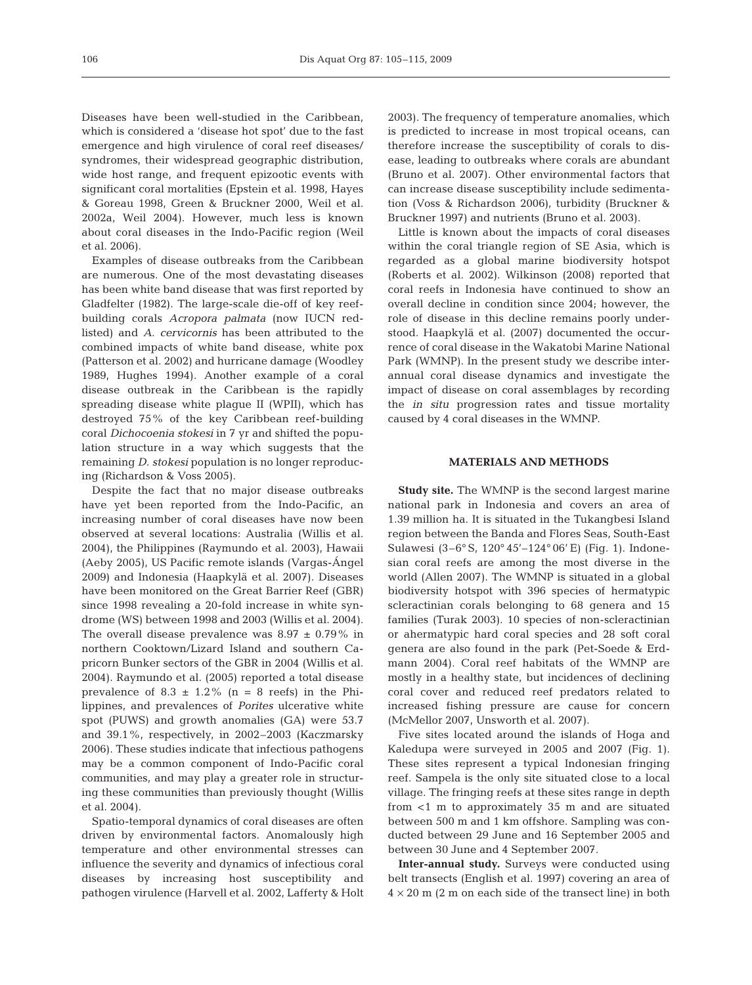Diseases have been well-studied in the Caribbean, which is considered a 'disease hot spot' due to the fast emergence and high virulence of coral reef diseases/ syndromes, their widespread geographic distribution, wide host range, and frequent epizootic events with significant coral mortalities (Epstein et al. 1998, Hayes & Goreau 1998, Green & Bruckner 2000, Weil et al. 2002a, Weil 2004). However, much less is known about coral diseases in the Indo-Pacific region (Weil et al. 2006).

Examples of disease outbreaks from the Caribbean are numerous. One of the most devastating diseases has been white band disease that was first reported by Gladfelter (1982). The large-scale die-off of key reefbuilding corals *Acropora palmata* (now IUCN redlisted) and *A*. *cervicornis* has been attributed to the combined impacts of white band disease, white pox (Patterson et al. 2002) and hurricane damage (Woodley 1989, Hughes 1994). Another example of a coral disease outbreak in the Caribbean is the rapidly spreading disease white plague II (WPII), which has destroyed 75% of the key Caribbean reef-building coral *Dichocoenia stokesi* in 7 yr and shifted the population structure in a way which suggests that the remaining *D*. *stokesi* population is no longer reproducing (Richardson & Voss 2005).

Despite the fact that no major disease outbreaks have yet been reported from the Indo-Pacific, an increasing number of coral diseases have now been observed at several locations: Australia (Willis et al. 2004), the Philippines (Raymundo et al. 2003), Hawaii (Aeby 2005), US Pacific remote islands (Vargas-Ángel 2009) and Indonesia (Haapkylä et al. 2007). Diseases have been monitored on the Great Barrier Reef (GBR) since 1998 revealing a 20-fold increase in white syndrome (WS) between 1998 and 2003 (Willis et al. 2004). The overall disease prevalence was  $8.97 \pm 0.79\%$  in northern Cooktown/Lizard Island and southern Capricorn Bunker sectors of the GBR in 2004 (Willis et al. 2004). Raymundo et al. (2005) reported a total disease prevalence of  $8.3 \pm 1.2\%$  (n = 8 reefs) in the Philippines, and prevalences of *Porites* ulcerative white spot (PUWS) and growth anomalies (GA) were 53.7 and 39.1%, respectively, in 2002–2003 (Kaczmarsky 2006). These studies indicate that infectious pathogens may be a common component of Indo-Pacific coral communities, and may play a greater role in structuring these communities than previously thought (Willis et al. 2004).

Spatio-temporal dynamics of coral diseases are often driven by environmental factors. Anomalously high temperature and other environmental stresses can influence the severity and dynamics of infectious coral diseases by increasing host susceptibility and pathogen virulence (Harvell et al. 2002, Lafferty & Holt 2003). The frequency of temperature anomalies, which is predicted to increase in most tropical oceans, can therefore increase the susceptibility of corals to disease, leading to outbreaks where corals are abundant (Bruno et al. 2007). Other environmental factors that can increase disease susceptibility include sedimentation (Voss & Richardson 2006), turbidity (Bruckner & Bruckner 1997) and nutrients (Bruno et al. 2003).

Little is known about the impacts of coral diseases within the coral triangle region of SE Asia, which is regarded as a global marine biodiversity hotspot (Roberts et al. 2002). Wilkinson (2008) reported that coral reefs in Indonesia have continued to show an overall decline in condition since 2004; however, the role of disease in this decline remains poorly understood. Haapkylä et al. (2007) documented the occurrence of coral disease in the Wakatobi Marine National Park (WMNP). In the present study we describe interannual coral disease dynamics and investigate the impact of disease on coral assemblages by recording the *in situ* progression rates and tissue mortality caused by 4 coral diseases in the WMNP.

## **MATERIALS AND METHODS**

**Study site.** The WMNP is the second largest marine national park in Indonesia and covers an area of 1.39 million ha. It is situated in the Tukangbesi Island region between the Banda and Flores Seas, South-East Sulawesi (3–6° S, 120° 45'–124° 06' E) (Fig. 1). Indonesian coral reefs are among the most diverse in the world (Allen 2007). The WMNP is situated in a global biodiversity hotspot with 396 species of hermatypic scleractinian corals belonging to 68 genera and 15 families (Turak 2003). 10 species of non-scleractinian or ahermatypic hard coral species and 28 soft coral genera are also found in the park (Pet-Soede & Erdmann 2004). Coral reef habitats of the WMNP are mostly in a healthy state, but incidences of declining coral cover and reduced reef predators related to increased fishing pressure are cause for concern (McMellor 2007, Unsworth et al. 2007).

Five sites located around the islands of Hoga and Kaledupa were surveyed in 2005 and 2007 (Fig. 1). These sites represent a typical Indonesian fringing reef. Sampela is the only site situated close to a local village. The fringing reefs at these sites range in depth from <1 m to approximately 35 m and are situated between 500 m and 1 km offshore. Sampling was conducted between 29 June and 16 September 2005 and between 30 June and 4 September 2007.

**Inter-annual study.** Surveys were conducted using belt transects (English et al. 1997) covering an area of  $4 \times 20$  m (2 m on each side of the transect line) in both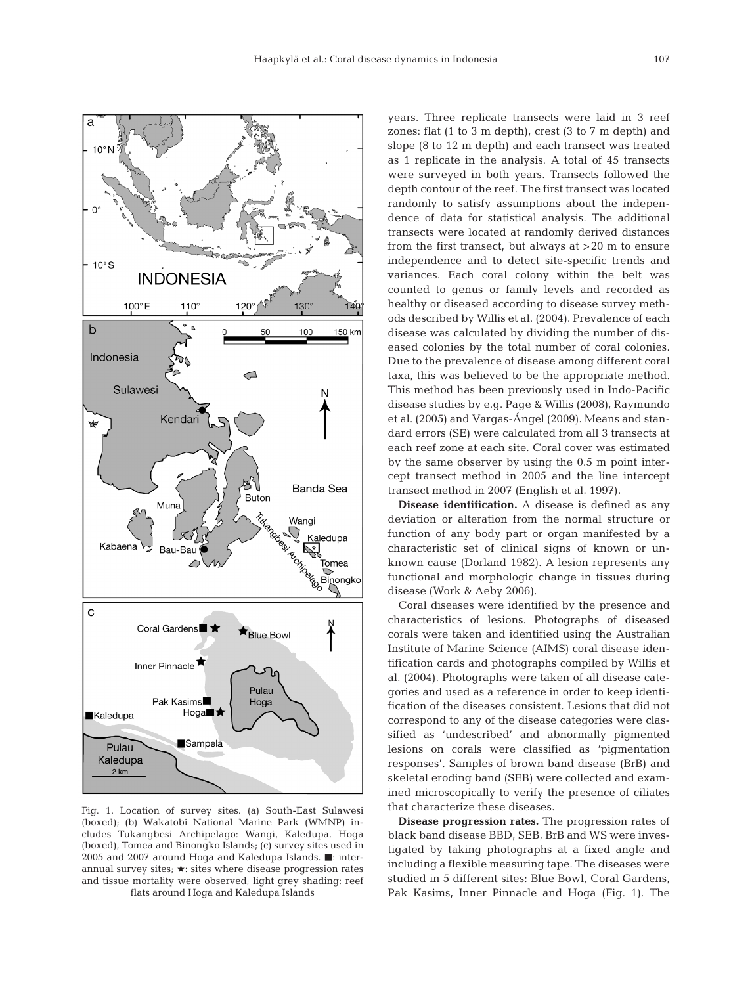



Fig. 1. Location of survey sites. (a) South-East Sulawesi (boxed); (b) Wakatobi National Marine Park (WMNP) includes Tukangbesi Archipelago: Wangi, Kaledupa, Hoga (boxed), Tomea and Binongko Islands; (c) survey sites used in 2005 and 2007 around Hoga and Kaledupa Islands.  $\blacksquare$ : interannual survey sites;  $\star$ : sites where disease progression rates and tissue mortality were observed; light grey shading: reef flats around Hoga and Kaledupa Islands

years. Three replicate transects were laid in 3 reef zones: flat (1 to 3 m depth), crest (3 to 7 m depth) and slope (8 to 12 m depth) and each transect was treated as 1 replicate in the analysis. A total of 45 transects were surveyed in both years. Transects followed the depth contour of the reef. The first transect was located randomly to satisfy assumptions about the independence of data for statistical analysis. The additional transects were located at randomly derived distances from the first transect, but always at >20 m to ensure independence and to detect site-specific trends and variances. Each coral colony within the belt was counted to genus or family levels and recorded as healthy or diseased according to disease survey methods described by Willis et al. (2004). Prevalence of each disease was calculated by dividing the number of diseased colonies by the total number of coral colonies. Due to the prevalence of disease among different coral taxa, this was believed to be the appropriate method. This method has been previously used in Indo-Pacific disease studies by e.g. Page & Willis (2008), Raymundo et al. (2005) and Vargas-Ángel (2009). Means and standard errors (SE) were calculated from all 3 transects at each reef zone at each site. Coral cover was estimated by the same observer by using the 0.5 m point intercept transect method in 2005 and the line intercept transect method in 2007 (English et al. 1997).

**Disease identification.** A disease is defined as any deviation or alteration from the normal structure or function of any body part or organ manifested by a characteristic set of clinical signs of known or unknown cause (Dorland 1982). A lesion represents any functional and morphologic change in tissues during disease (Work & Aeby 2006).

Coral diseases were identified by the presence and characteristics of lesions. Photographs of diseased corals were taken and identified using the Australian Institute of Marine Science (AIMS) coral disease identification cards and photographs compiled by Willis et al. (2004). Photographs were taken of all disease categories and used as a reference in order to keep identification of the diseases consistent. Lesions that did not correspond to any of the disease categories were classified as 'undescribed' and abnormally pigmented lesions on corals were classified as 'pigmentation responses'. Samples of brown band disease (BrB) and skeletal eroding band (SEB) were collected and examined microscopically to verify the presence of ciliates that characterize these diseases.

**Disease progression rates.** The progression rates of black band disease BBD, SEB, BrB and WS were investigated by taking photographs at a fixed angle and including a flexible measuring tape. The diseases were studied in 5 different sites: Blue Bowl, Coral Gardens, Pak Kasims, Inner Pinnacle and Hoga (Fig. 1). The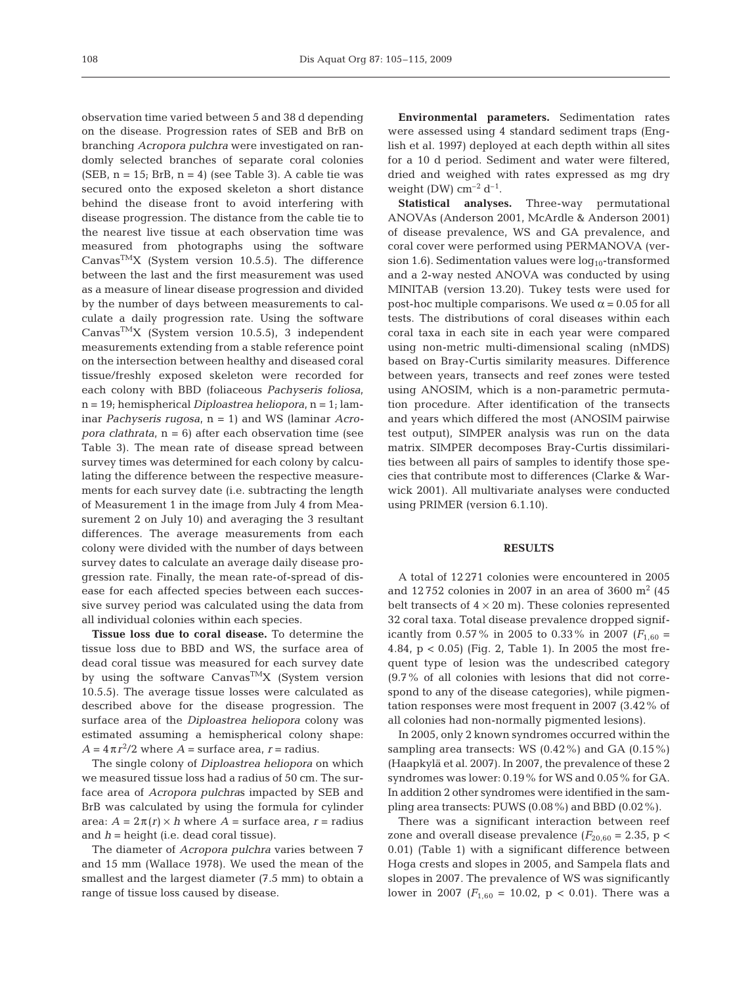observation time varied between 5 and 38 d depending on the disease. Progression rates of SEB and BrB on branching *Acropora pulchra* were investigated on randomly selected branches of separate coral colonies  $(SEB, n = 15; BrB, n = 4)$  (see Table 3). A cable tie was secured onto the exposed skeleton a short distance behind the disease front to avoid interfering with disease progression. The distance from the cable tie to the nearest live tissue at each observation time was measured from photographs using the software Canvas<sup>TM</sup>X (System version 10.5.5). The difference between the last and the first measurement was used as a measure of linear disease progression and divided by the number of days between measurements to calculate a daily progression rate. Using the software Canvas<sup>TM</sup>X (System version 10.5.5), 3 independent measurements extending from a stable reference point on the intersection between healthy and diseased coral tissue/freshly exposed skeleton were recorded for each colony with BBD (foliaceous *Pachyseris foliosa*, n = 19; hemispherical *Diploastrea heliopora*, n = 1; laminar *Pachyseris rugosa*, n = 1) and WS (laminar *Acropora clathrata*, n = 6) after each observation time (see Table 3). The mean rate of disease spread between survey times was determined for each colony by calculating the difference between the respective measurements for each survey date (i.e. subtracting the length of Measurement 1 in the image from July 4 from Measurement 2 on July 10) and averaging the 3 resultant differences. The average measurements from each colony were divided with the number of days between survey dates to calculate an average daily disease progression rate. Finally, the mean rate-of-spread of disease for each affected species between each successive survey period was calculated using the data from all individual colonies within each species.

**Tissue loss due to coral disease.** To determine the tissue loss due to BBD and WS, the surface area of dead coral tissue was measured for each survey date by using the software Canvas<sup>TM</sup>X (System version 10.5.5). The average tissue losses were calculated as described above for the disease progression. The surface area of the *Diploastrea heliopora* colony was estimated assuming a hemispherical colony shape:  $A = 4\pi r^2/2$  where  $A = \text{surface area}, r = \text{radius}.$ 

The single colony of *Diploastrea heliopora* on which we measured tissue loss had a radius of 50 cm. The surface area of *Acropora pulchra*s impacted by SEB and BrB was calculated by using the formula for cylinder area:  $A = 2\pi(r) \times h$  where  $A =$  surface area,  $r =$  radius and *h* = height (i.e. dead coral tissue).

The diameter of *Acropora pulchra* varies between 7 and 15 mm (Wallace 1978). We used the mean of the smallest and the largest diameter (7.5 mm) to obtain a range of tissue loss caused by disease.

**Environmental parameters.** Sedimentation rates were assessed using 4 standard sediment traps (English et al. 1997) deployed at each depth within all sites for a 10 d period. Sediment and water were filtered, dried and weighed with rates expressed as mg dry weight (DW)  $cm^{-2}$  d<sup>-1</sup>.

**Statistical analyses.** Three-way permutational ANOVAs (Anderson 2001, McArdle & Anderson 2001) of disease prevalence, WS and GA prevalence, and coral cover were performed using PERMANOVA (version 1.6). Sedimentation values were  $log_{10}$ -transformed and a 2-way nested ANOVA was conducted by using MINITAB (version 13.20). Tukey tests were used for post-hoc multiple comparisons. We used  $α = 0.05$  for all tests. The distributions of coral diseases within each coral taxa in each site in each year were compared using non-metric multi-dimensional scaling (nMDS) based on Bray-Curtis similarity measures. Difference between years, transects and reef zones were tested using ANOSIM, which is a non-parametric permutation procedure. After identification of the transects and years which differed the most (ANOSIM pairwise test output), SIMPER analysis was run on the data matrix. SIMPER decomposes Bray-Curtis dissimilarities between all pairs of samples to identify those species that contribute most to differences (Clarke & Warwick 2001). All multivariate analyses were conducted using PRIMER (version 6.1.10).

## **RESULTS**

A total of 12 271 colonies were encountered in 2005 and 12752 colonies in 2007 in an area of 3600  $\mathrm{m}^2$  (45 belt transects of  $4 \times 20$  m). These colonies represented 32 coral taxa. Total disease prevalence dropped significantly from 0.57% in 2005 to 0.33% in 2007 ( $F_{1,60}$  = 4.84, p < 0.05) (Fig. 2, Table 1). In 2005 the most frequent type of lesion was the undescribed category (9.7% of all colonies with lesions that did not correspond to any of the disease categories), while pigmentation responses were most frequent in 2007 (3.42% of all colonies had non-normally pigmented lesions).

In 2005, only 2 known syndromes occurred within the sampling area transects: WS  $(0.42\%)$  and GA  $(0.15\%)$ (Haapkylä et al. 2007). In 2007, the prevalence of these 2 syndromes was lower: 0.19% for WS and 0.05% for GA. In addition 2 other syndromes were identified in the sampling area transects: PUWS (0.08%) and BBD (0.02%).

There was a significant interaction between reef zone and overall disease prevalence  $(F_{20.60} = 2.35, p <$ 0.01) (Table 1) with a significant difference between Hoga crests and slopes in 2005, and Sampela flats and slopes in 2007. The prevalence of WS was significantly lower in 2007 ( $F_{1,60} = 10.02$ ,  $p < 0.01$ ). There was a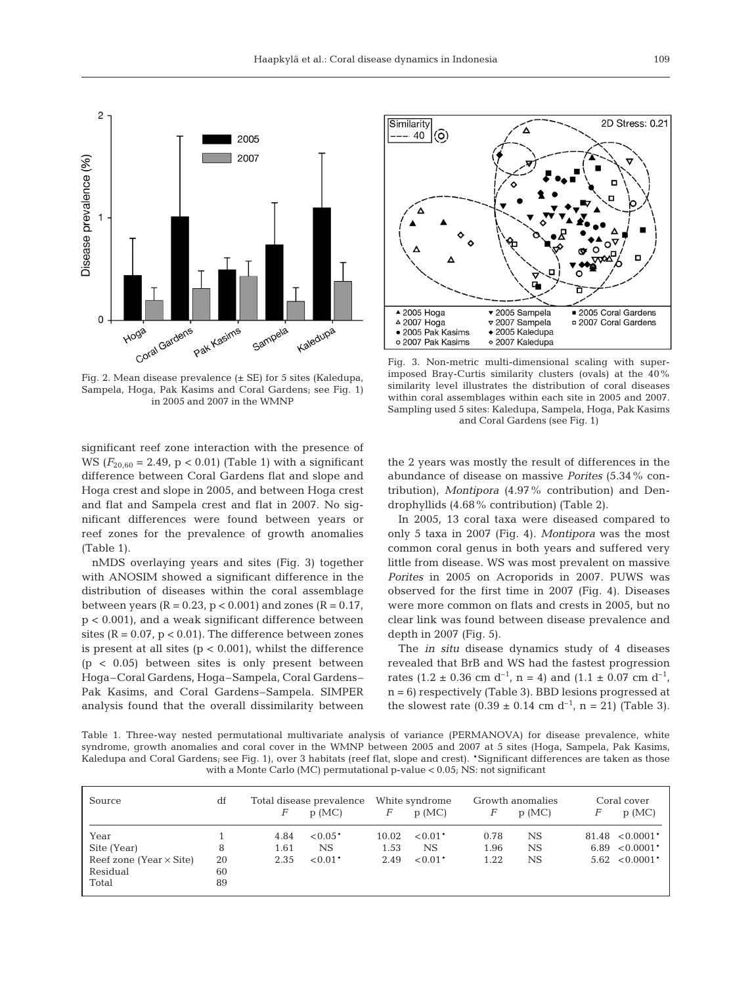

Fig. 2. Mean disease prevalence (± SE) for 5 sites (Kaledupa, Sampela, Hoga, Pak Kasims and Coral Gardens; see Fig. 1) in 2005 and 2007 in the WMNP



Fig. 3. Non-metric multi-dimensional scaling with superimposed Bray-Curtis similarity clusters (ovals) at the 40% similarity level illustrates the distribution of coral diseases within coral assemblages within each site in 2005 and 2007. Sampling used 5 sites: Kaledupa, Sampela, Hoga, Pak Kasims and Coral Gardens (see Fig. 1)

significant reef zone interaction with the presence of WS  $(F_{20.60} = 2.49, p < 0.01)$  (Table 1) with a significant difference between Coral Gardens flat and slope and Hoga crest and slope in 2005, and between Hoga crest and flat and Sampela crest and flat in 2007. No significant differences were found between years or reef zones for the prevalence of growth anomalies (Table 1).

nMDS overlaying years and sites (Fig. 3) together with ANOSIM showed a significant difference in the distribution of diseases within the coral assemblage between years ( $R = 0.23$ ,  $p < 0.001$ ) and zones ( $R = 0.17$ , p < 0.001), and a weak significant difference between sites ( $R = 0.07$ ,  $p < 0.01$ ). The difference between zones is present at all sites  $(p < 0.001)$ , whilst the difference  $(p < 0.05)$  between sites is only present between Hoga–Coral Gardens, Hoga–Sampela, Coral Gardens– Pak Kasims, and Coral Gardens–Sampela. SIMPER analysis found that the overall dissimilarity between the 2 years was mostly the result of differences in the abundance of disease on massive *Porites* (5.34% contribution), *Montipora* (4.97% contribution) and Dendrophyllids (4.68% contribution) (Table 2).

In 2005, 13 coral taxa were diseased compared to only 5 taxa in 2007 (Fig. 4). *Montipora* was the most common coral genus in both years and suffered very little from disease. WS was most prevalent on massive *Porites* in 2005 on Acroporids in 2007. PUWS was observed for the first time in 2007 (Fig. 4). Diseases were more common on flats and crests in 2005, but no clear link was found between disease prevalence and depth in 2007 (Fig. 5).

The *in situ* disease dynamics study of 4 diseases revealed that BrB and WS had the fastest progression rates (1.2  $\pm$  0.36 cm d<sup>-1</sup>, n = 4) and (1.1  $\pm$  0.07 cm d<sup>-1</sup>, n = 6) respectively (Table 3). BBD lesions progressed at the slowest rate  $(0.39 \pm 0.14 \text{ cm d}^{-1}, n = 21)$  (Table 3).

Table 1. Three-way nested permutational multivariate analysis of variance (PERMANOVA) for disease prevalence, white syndrome, growth anomalies and coral cover in the WMNP between 2005 and 2007 at 5 sites (Hoga, Sampela, Pak Kasims, Kaledupa and Coral Gardens; see Fig. 1), over 3 habitats (reef flat, slope and crest). \*Significant differences are taken as those with a Monte Carlo (MC) permutational p-value < 0.05; NS: not significant

| Source                                              | df             | Total disease prevalence |           | White syndrome |           | Growth anomalies |       | Coral cover |                     |
|-----------------------------------------------------|----------------|--------------------------|-----------|----------------|-----------|------------------|-------|-------------|---------------------|
|                                                     |                | F                        | p(MC)     | F              | p(MC)     | F                | p(MC) | F           | p(MC)               |
| Year                                                |                | 4.84                     | $< 0.05*$ | 10.02          | $< 0.01*$ | 0.78             | NS.   |             | $81.48 \le 0.0001*$ |
| Site (Year)                                         | 8              | 1.61                     | NS        | 1.53           | <b>NS</b> | 1.96             | NS.   |             | $6.89$ < $0.0001*$  |
| Reef zone (Year $\times$ Site)<br>Residual<br>Total | 20<br>60<br>89 | 2.35                     | $< 0.01*$ | 2.49           | $< 0.01*$ | 1.22             | NS.   |             | $5.62 \le 0.0001*$  |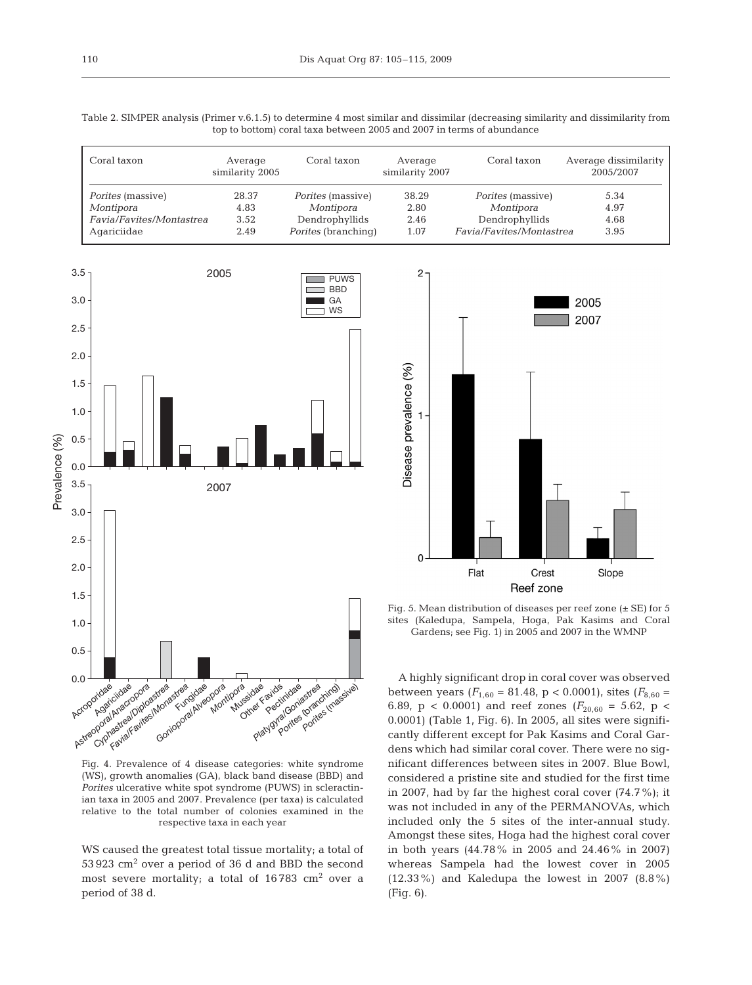Table 2. SIMPER analysis (Primer v.6.1.5) to determine 4 most similar and dissimilar (decreasing similarity and dissimilarity from top to bottom) coral taxa between 2005 and 2007 in terms of abundance

| Coral taxon              | Average<br>similarity 2005 | Coral taxon                | Average<br>similarity 2007 | Coral taxon              | Average dissimilarity<br>2005/2007 |
|--------------------------|----------------------------|----------------------------|----------------------------|--------------------------|------------------------------------|
| <i>Porites</i> (massive) | 28.37                      | <i>Porites</i> (massive)   | 38.29                      | <i>Porites</i> (massive) | 5.34                               |
| Montipora                | 4.83                       | Montipora                  | 2.80                       | Montipora                | 4.97                               |
| Favia/Favites/Montastrea | 3.52                       | Dendrophyllids             | 2.46                       | Dendrophyllids           | 4.68                               |
| Agariciidae              | 2.49                       | <i>Porites</i> (branching) | 1.07                       | Favia/Favites/Montastrea | 3.95                               |





Fig. 5. Mean distribution of diseases per reef zone  $(\pm$  SE) for 5 sites (Kaledupa, Sampela, Hoga, Pak Kasims and Coral Gardens; see Fig. 1) in 2005 and 2007 in the WMNP

Fig. 4. Prevalence of 4 disease categories: white syndrome (WS), growth anomalies (GA), black band disease (BBD) and *Porites* ulcerative white spot syndrome (PUWS) in scleractinian taxa in 2005 and 2007. Prevalence (per taxa) is calculated relative to the total number of colonies examined in the respective taxa in each year

WS caused the greatest total tissue mortality; a total of  $53\,923$  cm<sup>2</sup> over a period of 36 d and BBD the second most severe mortality; a total of  $16783 \text{ cm}^2$  over a period of 38 d.

A highly significant drop in coral cover was observed between years  $(F_{1,60} = 81.48, p < 0.0001)$ , sites  $(F_{8,60} =$ 6.89,  $p < 0.0001$ ) and reef zones ( $F_{20,60} = 5.62$ ,  $p <$ 0.0001) (Table 1, Fig. 6). In 2005, all sites were significantly different except for Pak Kasims and Coral Gardens which had similar coral cover. There were no significant differences between sites in 2007. Blue Bowl, considered a pristine site and studied for the first time in 2007, had by far the highest coral cover (74.7%); it was not included in any of the PERMANOVAs, which included only the 5 sites of the inter-annual study. Amongst these sites, Hoga had the highest coral cover in both years (44.78% in 2005 and 24.46% in 2007) whereas Sampela had the lowest cover in 2005 (12.33%) and Kaledupa the lowest in 2007 (8.8%) (Fig. 6).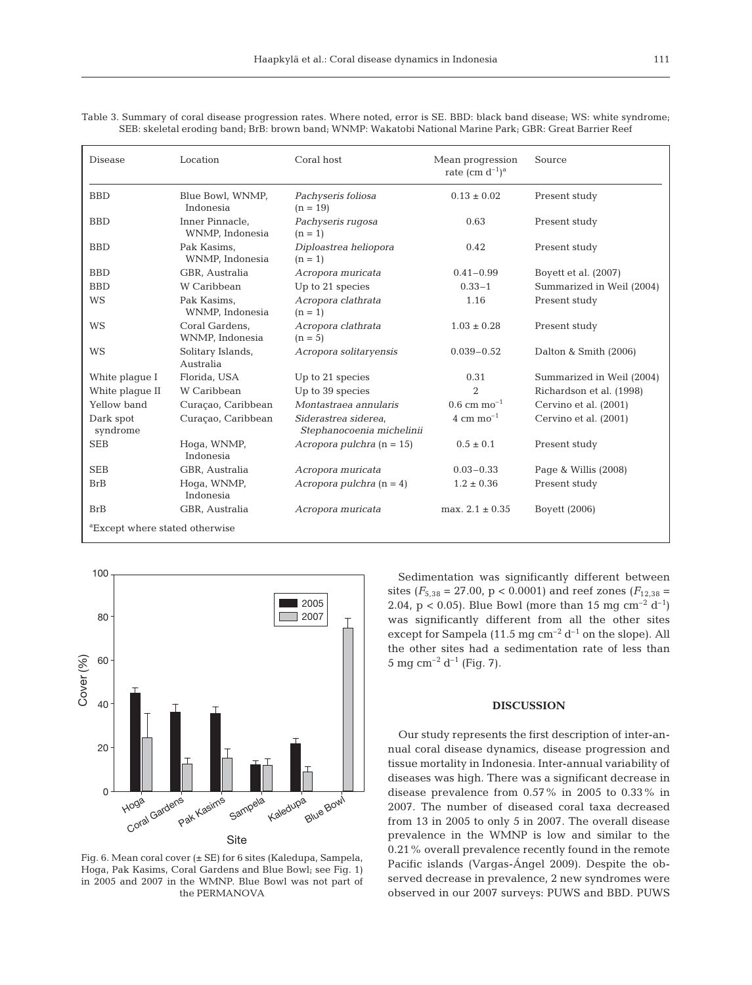| <b>Disease</b>                             | Location                           | Coral host                                        | Mean progression<br>rate (cm $d^{-1}$ ) <sup>a</sup> | Source                    |  |
|--------------------------------------------|------------------------------------|---------------------------------------------------|------------------------------------------------------|---------------------------|--|
| <b>BBD</b>                                 | Blue Bowl, WNMP,<br>Indonesia      | Pachyseris foliosa<br>$(n = 19)$                  | $0.13 \pm 0.02$                                      | Present study             |  |
| <b>BBD</b>                                 | Inner Pinnacle.<br>WNMP, Indonesia | Pachyseris rugosa<br>$(n = 1)$                    | 0.63                                                 | Present study             |  |
| <b>BBD</b>                                 | Pak Kasims.<br>WNMP, Indonesia     | Diploastrea heliopora<br>$(n = 1)$                | 0.42                                                 | Present study             |  |
| <b>BBD</b>                                 | GBR, Australia                     | Acropora muricata                                 | $0.41 - 0.99$                                        | Boyett et al. (2007)      |  |
| <b>BBD</b>                                 | W Caribbean                        | Up to 21 species                                  | $0.33 - 1$                                           | Summarized in Weil (2004) |  |
| <b>WS</b>                                  | Pak Kasims,<br>WNMP, Indonesia     | Acropora clathrata<br>$(n = 1)$                   | 1.16                                                 | Present study             |  |
| <b>WS</b>                                  | Coral Gardens,<br>WNMP, Indonesia  | Acropora clathrata<br>$(n = 5)$                   | $1.03 \pm 0.28$                                      | Present study             |  |
| <b>WS</b>                                  | Solitary Islands,<br>Australia     | Acropora solitaryensis                            | $0.039 - 0.52$                                       | Dalton & Smith (2006)     |  |
| White plaque I                             | Florida, USA                       | Up to 21 species                                  | 0.31                                                 | Summarized in Weil (2004) |  |
| White plaque II                            | W Caribbean                        | Up to 39 species                                  | $\overline{2}$                                       | Richardson et al. (1998)  |  |
| Yellow band                                | Curaçao, Caribbean                 | Montastraea annularis                             | $0.6$ cm mo <sup>-1</sup>                            | Cervino et al. (2001)     |  |
| Dark spot<br>syndrome                      | Curaçao, Caribbean                 | Siderastrea siderea,<br>Stephanocoenia michelinii | 4 cm $mo^{-1}$                                       | Cervino et al. (2001)     |  |
| <b>SEB</b>                                 | Hoga, WNMP,<br>Indonesia           | Acropora pulchra $(n = 15)$                       | $0.5 \pm 0.1$                                        | Present study             |  |
| <b>SEB</b>                                 | GBR, Australia                     | Acropora muricata                                 | $0.03 - 0.33$                                        | Page & Willis (2008)      |  |
| <b>BrB</b>                                 | Hoga, WNMP,<br>Indonesia           | Acropora pulchra $(n = 4)$                        | $1.2 \pm 0.36$                                       | Present study             |  |
| <b>BrB</b>                                 | GBR, Australia                     | Acropora muricata                                 | max. $2.1 \pm 0.35$                                  | Boyett (2006)             |  |
| <sup>a</sup> Except where stated otherwise |                                    |                                                   |                                                      |                           |  |

Table 3. Summary of coral disease progression rates. Where noted, error is SE. BBD: black band disease; WS: white syndrome; SEB: skeletal eroding band; BrB: brown band; WNMP: Wakatobi National Marine Park; GBR: Great Barrier Reef



Fig. 6. Mean coral cover (± SE) for 6 sites (Kaledupa, Sampela, Hoga, Pak Kasims, Coral Gardens and Blue Bowl; see Fig. 1) in 2005 and 2007 in the WMNP. Blue Bowl was not part of the PERMANOVA

Sedimentation was significantly different between sites ( $F_{5,38}$  = 27.00, p < 0.0001) and reef zones ( $F_{12,38}$  = 2.04, p < 0.05). Blue Bowl (more than 15 mg cm<sup>-2</sup> d<sup>-1</sup>) was significantly different from all the other sites except for Sampela (11.5 mg  $cm^{-2} d^{-1}$  on the slope). All the other sites had a sedimentation rate of less than 5 mg cm<sup>-2</sup> d<sup>-1</sup> (Fig. 7).

### **DISCUSSION**

Our study represents the first description of inter-annual coral disease dynamics, disease progression and tissue mortality in Indonesia. Inter-annual variability of diseases was high. There was a significant decrease in disease prevalence from 0.57% in 2005 to 0.33% in 2007. The number of diseased coral taxa decreased from 13 in 2005 to only 5 in 2007. The overall disease prevalence in the WMNP is low and similar to the 0.21% overall prevalence recently found in the remote Pacific islands (Vargas-Ángel 2009). Despite the observed decrease in prevalence, 2 new syndromes were observed in our 2007 surveys: PUWS and BBD. PUWS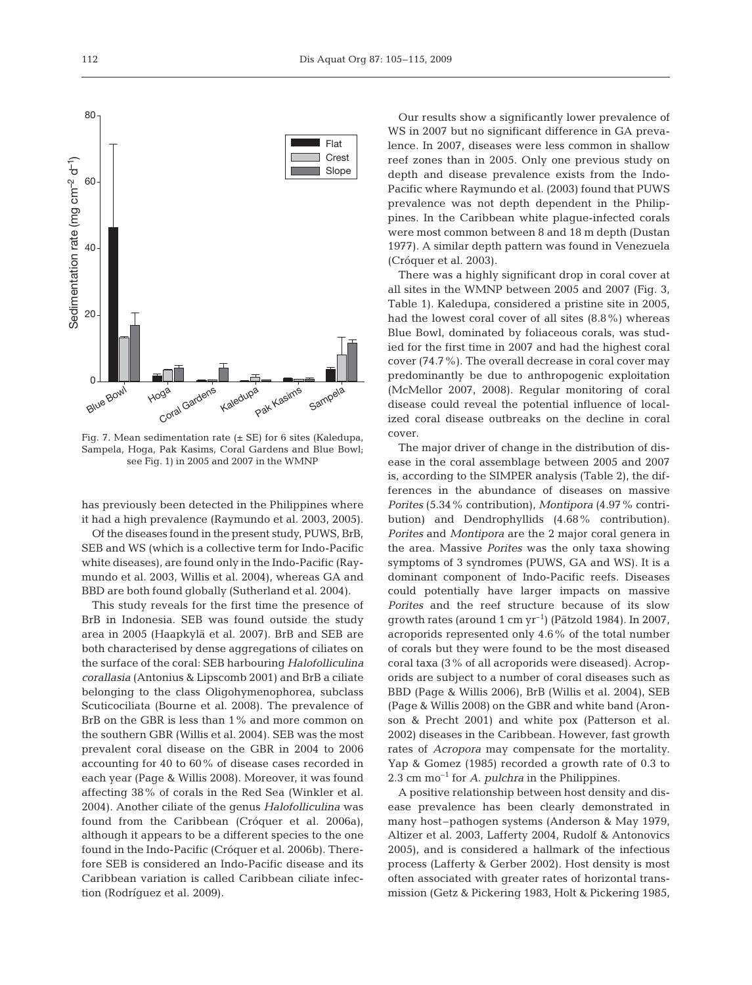

Fig. 7. Mean sedimentation rate (± SE) for 6 sites (Kaledupa, Sampela, Hoga, Pak Kasims, Coral Gardens and Blue Bowl; see Fig. 1) in 2005 and 2007 in the WMNP

has previously been detected in the Philippines where it had a high prevalence (Raymundo et al. 2003, 2005).

Of the diseases found in the present study, PUWS, BrB, SEB and WS (which is a collective term for Indo-Pacific white diseases), are found only in the Indo-Pacific (Raymundo et al. 2003, Willis et al. 2004), whereas GA and BBD are both found globally (Sutherland et al. 2004).

This study reveals for the first time the presence of BrB in Indonesia. SEB was found outside the study area in 2005 (Haapkylä et al. 2007). BrB and SEB are both characterised by dense aggregations of ciliates on the surface of the coral: SEB harbouring *Halofolliculina corallasia* (Antonius & Lipscomb 2001) and BrB a ciliate belonging to the class Oligohymenophorea, subclass Scuticociliata (Bourne et al. 2008). The prevalence of BrB on the GBR is less than 1% and more common on the southern GBR (Willis et al. 2004). SEB was the most prevalent coral disease on the GBR in 2004 to 2006 accounting for 40 to 60% of disease cases recorded in each year (Page & Willis 2008). Moreover, it was found affecting 38% of corals in the Red Sea (Winkler et al. 2004). Another ciliate of the genus *Halofolliculina* was found from the Caribbean (Cróquer et al. 2006a), although it appears to be a different species to the one found in the Indo-Pacific (Cróquer et al. 2006b). Therefore SEB is considered an Indo-Pacific disease and its Caribbean variation is called Caribbean ciliate infection (Rodríguez et al. 2009).

Our results show a significantly lower prevalence of WS in 2007 but no significant difference in GA prevalence. In 2007, diseases were less common in shallow reef zones than in 2005. Only one previous study on depth and disease prevalence exists from the Indo-Pacific where Raymundo et al. (2003) found that PUWS prevalence was not depth dependent in the Philippines. In the Caribbean white plague-infected corals were most common between 8 and 18 m depth (Dustan 1977). A similar depth pattern was found in Venezuela (Cróquer et al. 2003).

There was a highly significant drop in coral cover at all sites in the WMNP between 2005 and 2007 (Fig. 3, Table 1). Kaledupa, considered a pristine site in 2005, had the lowest coral cover of all sites (8.8%) whereas Blue Bowl, dominated by foliaceous corals, was studied for the first time in 2007 and had the highest coral cover (74.7%). The overall decrease in coral cover may predominantly be due to anthropogenic exploitation (McMellor 2007, 2008). Regular monitoring of coral disease could reveal the potential influence of localized coral disease outbreaks on the decline in coral cover.

The major driver of change in the distribution of disease in the coral assemblage between 2005 and 2007 is, according to the SIMPER analysis (Table 2), the differences in the abundance of diseases on massive *Porites* (5.34% contribution), *Montipora* (4.97% contribution) and Dendrophyllids (4.68% contribution). *Porites* and *Montipora* are the 2 major coral genera in the area. Massive *Porites* was the only taxa showing symptoms of 3 syndromes (PUWS, GA and WS). It is a dominant component of Indo-Pacific reefs. Diseases could potentially have larger impacts on massive *Porites* and the reef structure because of its slow growth rates (around  $1 \text{ cm yr}^{-1}$ ) (Pätzold 1984). In 2007, acroporids represented only 4.6% of the total number of corals but they were found to be the most diseased coral taxa (3% of all acroporids were diseased). Acroporids are subject to a number of coral diseases such as BBD (Page & Willis 2006), BrB (Willis et al. 2004), SEB (Page & Willis 2008) on the GBR and white band (Aronson & Precht 2001) and white pox (Patterson et al. 2002) diseases in the Caribbean. However, fast growth rates of *Acropora* may compensate for the mortality. Yap & Gomez (1985) recorded a growth rate of 0.3 to 2.3 cm mo–1 for *A*. *pulchra* in the Philippines.

A positive relationship between host density and disease prevalence has been clearly demonstrated in many host–pathogen systems (Anderson & May 1979, Altizer et al. 2003, Lafferty 2004, Rudolf & Antonovics 2005), and is considered a hallmark of the infectious process (Lafferty & Gerber 2002). Host density is most often associated with greater rates of horizontal transmission (Getz & Pickering 1983, Holt & Pickering 1985,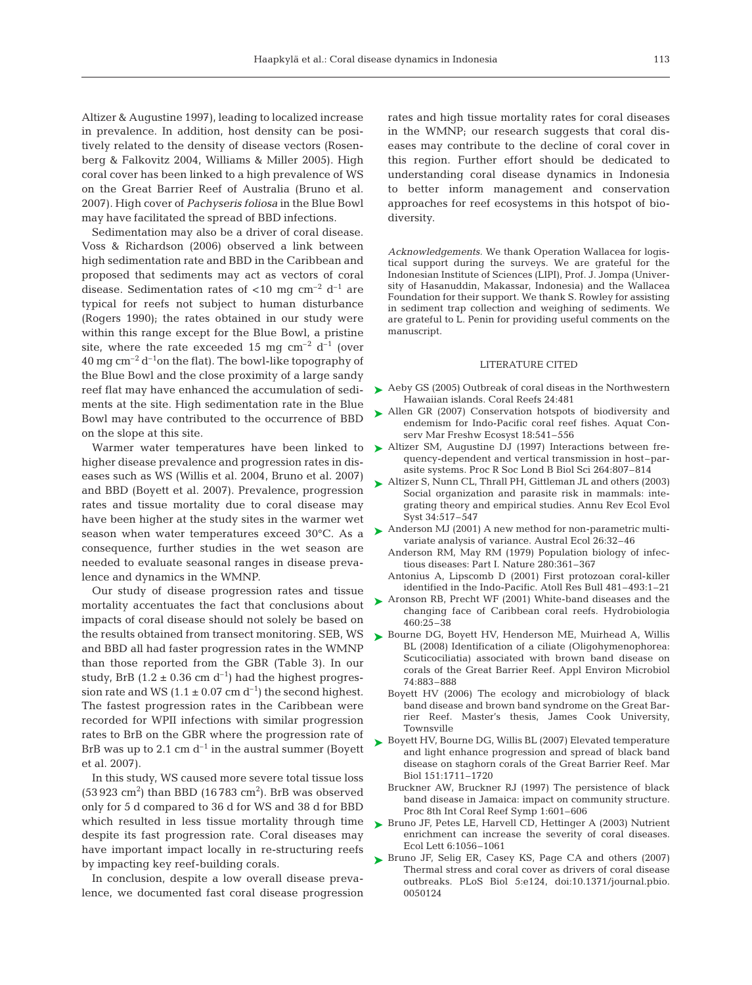Altizer & Augustine 1997), leading to localized increase in prevalence. In addition, host density can be positively related to the density of disease vectors (Rosenberg & Falkovitz 2004, Williams & Miller 2005). High coral cover has been linked to a high prevalence of WS on the Great Barrier Reef of Australia (Bruno et al. 2007). High cover of *Pachyseris foliosa* in the Blue Bowl may have facilitated the spread of BBD infections.

Sedimentation may also be a driver of coral disease. Voss & Richardson (2006) observed a link between high sedimentation rate and BBD in the Caribbean and proposed that sediments may act as vectors of coral disease. Sedimentation rates of  $<$ 10 mg cm<sup>-2</sup> d<sup>-1</sup> are typical for reefs not subject to human disturbance (Rogers 1990); the rates obtained in our study were within this range except for the Blue Bowl, a pristine site, where the rate exceeded 15 mg  $cm^{-2}$  d<sup>-1</sup> (over  $40 \,\mathrm{mg\,cm^{-2}\,d^{-1}}$ on the flat). The bowl-like topography of the Blue Bowl and the close proximity of a large sandy reef flat may have enhanced the accumulation of sediments at the site. High sedimentation rate in the Blue Bowl may have contributed to the occurrence of BBD on the slope at this site.

Warmer water temperatures have been linked to higher disease prevalence and progression rates in diseases such as WS (Willis et al. 2004, Bruno et al. 2007) and BBD (Boyett et al. 2007). Prevalence, progression rates and tissue mortality due to coral disease may have been higher at the study sites in the warmer wet season when water temperatures exceed 30°C. As a consequence, further studies in the wet season are needed to evaluate seasonal ranges in disease prevalence and dynamics in the WMNP.

Our study of disease progression rates and tissue mortality accentuates the fact that conclusions about impacts of coral disease should not solely be based on the results obtained from transect monitoring. SEB, WS and BBD all had faster progression rates in the WMNP than those reported from the GBR (Table 3). In our study, BrB (1.2  $\pm$  0.36 cm d<sup>-1</sup>) had the highest progression rate and WS (1.1  $\pm$  0.07 cm d<sup>-1</sup>) the second highest. The fastest progression rates in the Caribbean were recorded for WPII infections with similar progression rates to BrB on the GBR where the progression rate of BrB was up to 2.1 cm  $d^{-1}$  in the austral summer (Boyett et al. 2007).

In this study, WS caused more severe total tissue loss  $(53923 \text{ cm}^2)$  than BBD  $(16783 \text{ cm}^2)$ . BrB was observed only for 5 d compared to 36 d for WS and 38 d for BBD which resulted in less tissue mortality through time despite its fast progression rate. Coral diseases may have important impact locally in re-structuring reefs by impacting key reef-building corals.

In conclusion, despite a low overall disease prevalence, we documented fast coral disease progression rates and high tissue mortality rates for coral diseases in the WMNP; our research suggests that coral diseases may contribute to the decline of coral cover in this region. Further effort should be dedicated to understanding coral disease dynamics in Indonesia to better inform management and conservation approaches for reef ecosystems in this hotspot of biodiversity.

*Acknowledgements.* We thank Operation Wallacea for logistical support during the surveys. We are grateful for the Indonesian Institute of Sciences (LIPI), Prof. J. Jompa (University of Hasanuddin, Makassar, Indonesia) and the Wallacea Foundation for their support. We thank S. Rowley for assisting in sediment trap collection and weighing of sediments. We are grateful to L. Penin for providing useful comments on the manuscript.

#### LITERATURE CITED

- ► Aeby GS (2005) Outbreak of coral diseas in the Northwestern Hawaiian islands. Coral Reefs 24:481
- ▶ Allen GR (2007) Conservation hotspots of biodiversity and endemism for Indo-Pacific coral reef fishes. Aquat Conserv Mar Freshw Ecosyst 18:541–556
- ▶ Altizer SM, Augustine DJ (1997) Interactions between frequency-dependent and vertical transmission in host–parasite systems. Proc R Soc Lond B Biol Sci 264:807–814
- ► Altizer S, Nunn CL, Thrall PH, Gittleman JL and others (2003) Social organization and parasite risk in mammals: integrating theory and empirical studies. Annu Rev Ecol Evol Syst 34:517–547
- ► Anderson MJ (2001) A new method for non-parametric multivariate analysis of variance. Austral Ecol 26:32–46
	- Anderson RM, May RM (1979) Population biology of infectious diseases: Part I. Nature 280:361–367
	- Antonius A, Lipscomb D (2001) First protozoan coral-killer identified in the Indo-Pacific. Atoll Res Bull 481–493:1–21
- ► Aronson RB, Precht WF (2001) White-band diseases and the changing face of Caribbean coral reefs. Hydrobiologia 460:25–38
- ▶ Bourne DG, Boyett HV, Henderson ME, Muirhead A, Willis BL (2008) Identification of a ciliate (Oligohymenophorea: Scuticociliatia) associated with brown band disease on corals of the Great Barrier Reef. Appl Environ Microbiol 74:883–888
	- Boyett HV (2006) The ecology and microbiology of black band disease and brown band syndrome on the Great Barrier Reef. Master's thesis, James Cook University, Townsville
- ► Boyett HV, Bourne DG, Willis BL (2007) Elevated temperature and light enhance progression and spread of black band disease on staghorn corals of the Great Barrier Reef. Mar Biol 151:1711–1720
	- Bruckner AW, Bruckner RJ (1997) The persistence of black band disease in Jamaica: impact on community structure. Proc 8th Int Coral Reef Symp 1:601–606
- ▶ Bruno JF, Petes LE, Harvell CD, Hettinger A (2003) Nutrient enrichment can increase the severity of coral diseases. Ecol Lett 6:1056–1061
- ▶ Bruno JF, Selig ER, Casey KS, Page CA and others (2007) Thermal stress and coral cover as drivers of coral disease outbreaks. PLoS Biol 5:e124, doi:10.1371/journal.pbio. 0050124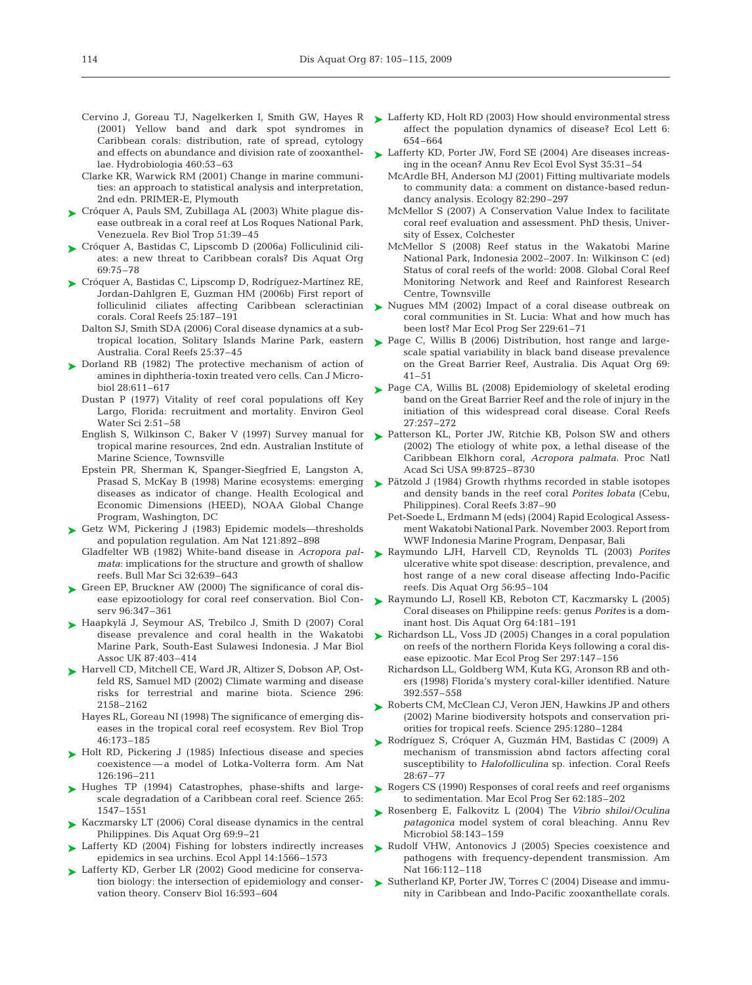- Cervino J, Goreau TJ, Nagelkerken I, Smith GW, Hayes R (2001) Yellow band and dark spot syndromes in Caribbean corals: distribution, rate of spread, cytology and effects on abundance and division rate of zooxanthellae. Hydrobiologia 460:53–63
- Clarke KR, Warwick RM (2001) Change in marine communities: an approach to statistical analysis and interpretation, 2nd edn. PRIMER-E, Plymouth
- ► Cróquer A, Pauls SM, Zubillaga AL (2003) White plague disease outbreak in a coral reef at Los Roques National Park, Venezuela. Rev Biol Trop 51:39–45
- ► Cróquer A, Bastidas C, Lipscomb D (2006a) Folliculinid ciliates: a new threat to Caribbean corals? Dis Aquat Org 69:75–78
- ► Cróquer A, Bastidas C, Lipscomp D, Rodríguez-Martínez RE, Jordan-Dahlgren E, Guzman HM (2006b) First report of folliculinid ciliates affecting Caribbean scleractinian corals. Coral Reefs 25:187–191
	- Dalton SJ, Smith SDA (2006) Coral disease dynamics at a subtropical location, Solitary Islands Marine Park, eastern Australia. Coral Reefs 25:37–45
- ► Dorland RB (1982) The protective mechanism of action of amines in diphtheria-toxin treated vero cells. Can J Microbiol 28:611–617
	- Dustan P (1977) Vitality of reef coral populations off Key Largo, Florida: recruitment and mortality. Environ Geol Water Sci 2:51–58
	- English S, Wilkinson C, Baker V (1997) Survey manual for tropical marine resources, 2nd edn. Australian Institute of Marine Science, Townsville
	- Epstein PR, Sherman K, Spanger-Siegfried E, Langston A, Prasad S, McKay B (1998) Marine ecosystems: emerging diseases as indicator of change. Health Ecological and Economic Dimensions (HEED), NOAA Global Change Program, Washington, DC
- ► Getz WM, Pickering J (1983) Epidemic models—thresholds and population regulation. Am Nat 121:892–898
	- Gladfelter WB (1982) White-band disease in *Acropora palmata*: implications for the structure and growth of shallow reefs. Bull Mar Sci 32:639–643
- ► Green EP, Bruckner AW (2000) The significance of coral disease epizootiology for coral reef conservation. Biol Conserv 96:347–361
- ► Haapkylä J, Seymour AS, Trebilco J, Smith D (2007) Coral disease prevalence and coral health in the Wakatobi Marine Park, South-East Sulawesi Indonesia. J Mar Biol Assoc UK 87:403–414
- ▶ Harvell CD, Mitchell CE, Ward JR, Altizer S, Dobson AP, Ostfeld RS, Samuel MD (2002) Climate warming and disease risks for terrestrial and marine biota. Science 296: 2158–2162
	- Hayes RL, Goreau NI (1998) The significance of emerging diseases in the tropical coral reef ecosystem. Rev Biol Trop 46:173–185
- ► Holt RD, Pickering J (1985) Infectious disease and species coexistence — a model of Lotka-Volterra form. Am Nat 126:196–211
- ▶ Hughes TP (1994) Catastrophes, phase-shifts and largescale degradation of a Caribbean coral reef. Science 265: 1547–1551
- ► Kaczmarsky LT (2006) Coral disease dynamics in the central Philippines. Dis Aquat Org 69:9–21
- ► Lafferty KD (2004) Fishing for lobsters indirectly increases epidemics in sea urchins. Ecol Appl 14:1566–1573
- ► Lafferty KD, Gerber LR (2002) Good medicine for conservation biology: the intersection of epidemiology and conservation theory. Conserv Biol 16:593–604
- ► Lafferty KD, Holt RD (2003) How should environmental stress affect the population dynamics of disease? Ecol Lett 6: 654–664
- ► Lafferty KD, Porter JW, Ford SE (2004) Are diseases increasing in the ocean? Annu Rev Ecol Evol Syst 35:31–54
	- McArdle BH, Anderson MJ (2001) Fitting multivariate models to community data: a comment on distance-based redundancy analysis. Ecology 82:290–297
	- McMellor S (2007) A Conservation Value Index to facilitate coral reef evaluation and assessment. PhD thesis, University of Essex, Colchester
	- McMellor S (2008) Reef status in the Wakatobi Marine National Park, Indonesia 2002–2007. In: Wilkinson C (ed) Status of coral reefs of the world: 2008. Global Coral Reef Monitoring Network and Reef and Rainforest Research Centre, Townsville
- ▶ Nugues MM (2002) Impact of a coral disease outbreak on coral communities in St. Lucia: What and how much has been lost? Mar Ecol Prog Ser 229:61–71
- ► Page C, Willis B (2006) Distribution, host range and largescale spatial variability in black band disease prevalence on the Great Barrier Reef, Australia. Dis Aquat Org 69: 41–51
- ► Page CA, Willis BL (2008) Epidemiology of skeletal eroding band on the Great Barrier Reef and the role of injury in the initiation of this widespread coral disease. Coral Reefs 27:257–272
- ▶ Patterson KL, Porter JW, Ritchie KB, Polson SW and others (2002) The etiology of white pox, a lethal disease of the Caribbean Elkhorn coral, *Acropora palmata*. Proc Natl Acad Sci USA 99:8725–8730
- ▶ Pätzold J (1984) Growth rhythms recorded in stable isotopes and density bands in the reef coral *Porites lobata* (Cebu, Philippines). Coral Reefs 3:87–90
	- Pet-Soede L, Erdmann M (eds) (2004) Rapid Ecological Assessment Wakatobi National Park. November 2003. Report from WWF Indonesia Marine Program, Denpasar, Bali
- Raymundo LJH, Harvell CD, Reynolds TL (2003) *Porites* ➤ ulcerative white spot disease: description, prevalence, and host range of a new coral disease affecting Indo-Pacific reefs. Dis Aquat Org 56:95–104
- ► Raymundo LJ, Rosell KB, Reboton CT, Kaczmarsky L (2005) Coral diseases on Philippine reefs: genus *Porites* is a dominant host. Dis Aquat Org 64:181–191
- ► Richardson LL, Voss JD (2005) Changes in a coral population on reefs of the northern Florida Keys following a coral disease epizootic. Mar Ecol Prog Ser 297:147–156
	- Richardson LL, Goldberg WM, Kuta KG, Aronson RB and others (1998) Florida's mystery coral-killer identified. Nature 392:557–558
- ► Roberts CM, McClean CJ, Veron JEN, Hawkins JP and others (2002) Marine biodiversity hotspots and conservation priorities for tropical reefs. Science 295:1280–1284
- Rodríguez S, Cróquer A, Guzmán HM, Bastidas C (2009) A ➤ mechanism of transmission abnd factors affecting coral susceptibility to *Halofolliculina* sp. infection. Coral Reefs 28:67–77
- ► Rogers CS (1990) Responses of coral reefs and reef organisms to sedimentation. Mar Ecol Prog Ser 62:185–202
- ▶ Rosenberg E, Falkovitz L (2004) The *Vibrio shiloi/Oculina patagonica* model system of coral bleaching. Annu Rev Microbiol 58:143–159
- ▶ Rudolf VHW, Antonovics J (2005) Species coexistence and pathogens with frequency-dependent transmission. Am Nat 166:112–118
- ► Sutherland KP, Porter JW, Torres C (2004) Disease and immunity in Caribbean and Indo-Pacific zooxanthellate corals.